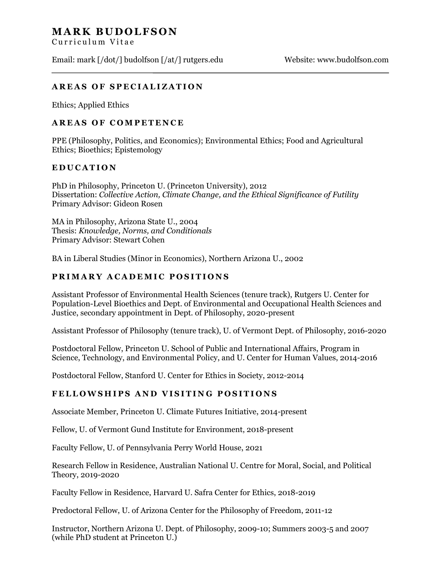# **MARK BUDOLFSON**

Curriculum Vitae

Email: mark [/dot/] budolfson [/at/] rutgers.edu Website: www.budolfson.com

### **AREAS OF SPECIALIZATION**

Ethics; Applied Ethics

### **AREAS OF COMPETENCE**

PPE (Philosophy, Politics, and Economics); Environmental Ethics; Food and Agricultural Ethics; Bioethics; Epistemology

### **E D U C A T I O N**

PhD in Philosophy, Princeton U. (Princeton University), 2012 Dissertation: *Collective Action, Climate Change, and the Ethical Significance of Futility* Primary Advisor: Gideon Rosen

MA in Philosophy, Arizona State U., 2004 Thesis: *Knowledge, Norms, and Conditionals* Primary Advisor: Stewart Cohen

BA in Liberal Studies (Minor in Economics), Northern Arizona U., 2002

## **P R I M A R Y A C A D E M I C P O S I T I O N S**

Assistant Professor of Environmental Health Sciences (tenure track), Rutgers U. Center for Population-Level Bioethics and Dept. of Environmental and Occupational Health Sciences and Justice, secondary appointment in Dept. of Philosophy, 2020-present

Assistant Professor of Philosophy (tenure track), U. of Vermont Dept. of Philosophy, 2016-2020

Postdoctoral Fellow, Princeton U. School of Public and International Affairs, Program in Science, Technology, and Environmental Policy, and U. Center for Human Values, 2014-2016

Postdoctoral Fellow, Stanford U. Center for Ethics in Society, 2012-2014

### **F E L L O W S H I P S A N D V I S I T I N G P O S I T I O N S**

Associate Member, Princeton U. Climate Futures Initiative, 2014-present

Fellow, U. of Vermont Gund Institute for Environment, 2018-present

Faculty Fellow, U. of Pennsylvania Perry World House, 2021

Research Fellow in Residence, Australian National U. Centre for Moral, Social, and Political Theory, 2019-2020

Faculty Fellow in Residence, Harvard U. Safra Center for Ethics, 2018-2019

Predoctoral Fellow, U. of Arizona Center for the Philosophy of Freedom, 2011-12

Instructor, Northern Arizona U. Dept. of Philosophy, 2009-10; Summers 2003-5 and 2007 (while PhD student at Princeton U.)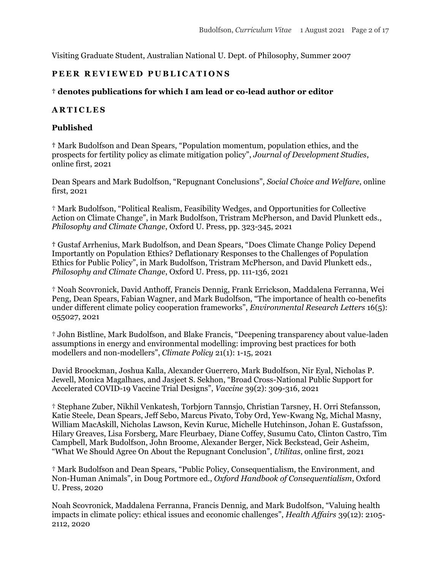Visiting Graduate Student, Australian National U. Dept. of Philosophy, Summer 2007

### PEER REVIEWED PUBLICATIONS

#### **† denotes publications for which I am lead or co-lead author or editor**

#### **A R T I C L E S**

#### **Published**

**†** Mark Budolfson and Dean Spears, "Population momentum, population ethics, and the prospects for fertility policy as climate mitigation policy", *Journal of Development Studies*, online first, 2021

Dean Spears and Mark Budolfson, "Repugnant Conclusions", *Social Choice and Welfare*, online first, 2021

† Mark Budolfson, "Political Realism, Feasibility Wedges, and Opportunities for Collective Action on Climate Change", in Mark Budolfson, Tristram McPherson, and David Plunkett eds., *Philosophy and Climate Change*, Oxford U. Press, pp. 323-345, 2021

**†** Gustaf Arrhenius, Mark Budolfson, and Dean Spears, "Does Climate Change Policy Depend Importantly on Population Ethics? Deflationary Responses to the Challenges of Population Ethics for Public Policy", in Mark Budolfson, Tristram McPherson, and David Plunkett eds., *Philosophy and Climate Change*, Oxford U. Press, pp. 111-136, 2021

† Noah Scovronick, David Anthoff, Francis Dennig, Frank Errickson, Maddalena Ferranna, Wei Peng, Dean Spears, Fabian Wagner, and Mark Budolfson, "The importance of health co-benefits under different climate policy cooperation frameworks", *Environmental Research Letters* 16(5): 055027, 2021

† John Bistline, Mark Budolfson, and Blake Francis, "Deepening transparency about value-laden assumptions in energy and environmental modelling: improving best practices for both modellers and non-modellers", *Climate Policy* 21(1): 1-15, 2021

David Broockman, Joshua Kalla, Alexander Guerrero, Mark Budolfson, Nir Eyal, Nicholas P. Jewell, Monica Magalhaes, and Jasjeet S. Sekhon, "Broad Cross-National Public Support for Accelerated COVID-19 Vaccine Trial Designs", *Vaccine* 39(2): 309-316, 2021

† Stephane Zuber, Nikhil Venkatesh, Torbjorn Tannsjo, Christian Tarsney, H. Orri Stefansson, Katie Steele, Dean Spears, Jeff Sebo, Marcus Pivato, Toby Ord, Yew-Kwang Ng, Michal Masny, William MacAskill, Nicholas Lawson, Kevin Kuruc, Michelle Hutchinson, Johan E. Gustafsson, Hilary Greaves, Lisa Forsberg, Marc Fleurbaey, Diane Coffey, Susumu Cato, Clinton Castro, Tim Campbell, Mark Budolfson, John Broome, Alexander Berger, Nick Beckstead, Geir Asheim, "What We Should Agree On About the Repugnant Conclusion", *Utilitas*, online first, 2021

† Mark Budolfson and Dean Spears, "Public Policy, Consequentialism, the Environment, and Non-Human Animals", in Doug Portmore ed., *Oxford Handbook of Consequentialism*, Oxford U. Press, 2020

Noah Scovronick, Maddalena Ferranna, Francis Dennig, and Mark Budolfson, "Valuing health impacts in climate policy: ethical issues and economic challenges", *Health Affairs* 39(12): 2105- 2112, 2020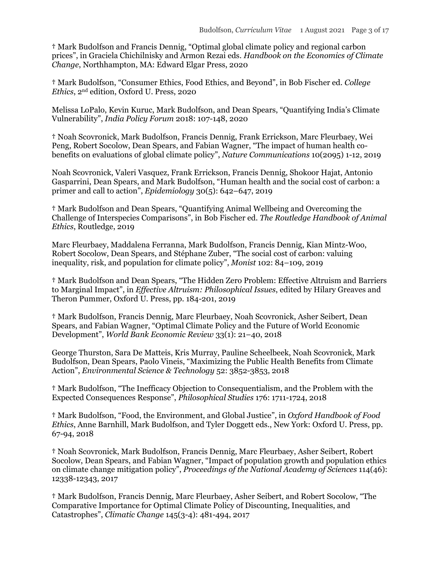**†** Mark Budolfson and Francis Dennig, "Optimal global climate policy and regional carbon prices", in Graciela Chichilnisky and Armon Rezai eds. *Handbook on the Economics of Climate Change*, Northhampton, MA: Edward Elgar Press, 2020

**†** Mark Budolfson, "Consumer Ethics, Food Ethics, and Beyond", in Bob Fischer ed. *College Ethics*, 2nd edition, Oxford U. Press, 2020

Melissa LoPalo, Kevin Kuruc, Mark Budolfson, and Dean Spears, "Quantifying India's Climate Vulnerability", *India Policy Forum* 2018: 107-148, 2020

**†** Noah Scovronick, Mark Budolfson, Francis Dennig, Frank Errickson, Marc Fleurbaey, Wei Peng, Robert Socolow, Dean Spears, and Fabian Wagner, "The impact of human health cobenefits on evaluations of global climate policy", *Nature Communications* 10(2095) 1-12, 2019

Noah Scovronick, Valeri Vasquez, Frank Errickson, Francis Dennig, Shokoor Hajat, Antonio Gasparrini, Dean Spears, and Mark Budolfson, "Human health and the social cost of carbon: a primer and call to action", *Epidemiology* 30(5): 642–647, 2019

**†** Mark Budolfson and Dean Spears, "Quantifying Animal Wellbeing and Overcoming the Challenge of Interspecies Comparisons", in Bob Fischer ed. *The Routledge Handbook of Animal Ethics*, Routledge, 2019

Marc Fleurbaey, Maddalena Ferranna, Mark Budolfson, Francis Dennig, Kian Mintz-Woo, Robert Socolow, Dean Spears, and Stéphane Zuber, "The social cost of carbon: valuing inequality, risk, and population for climate policy", *Monist* 102: 84–109, 2019

**†** Mark Budolfson and Dean Spears, "The Hidden Zero Problem: Effective Altruism and Barriers to Marginal Impact", in *Effective Altruism: Philosophical Issues*, edited by Hilary Greaves and Theron Pummer, Oxford U. Press, pp. 184-201, 2019

**†** Mark Budolfson, Francis Dennig, Marc Fleurbaey, Noah Scovronick, Asher Seibert, Dean Spears, and Fabian Wagner, "Optimal Climate Policy and the Future of World Economic Development", *World Bank Economic Review* 33(1): 21–40, 2018

George Thurston, Sara De Matteis, Kris Murray, Pauline Scheelbeek, Noah Scovronick, Mark Budolfson, Dean Spears, Paolo Vineis, "Maximizing the Public Health Benefits from Climate Action", *Environmental Science & Technology* 52: 3852-3853, 2018

**†** Mark Budolfson, "The Inefficacy Objection to Consequentialism, and the Problem with the Expected Consequences Response", *Philosophical Studies* 176: 1711-1724, 2018

**†** Mark Budolfson, "Food, the Environment, and Global Justice", in *Oxford Handbook of Food Ethics*, Anne Barnhill, Mark Budolfson, and Tyler Doggett eds., New York: Oxford U. Press, pp. 67-94, 2018

**†** Noah Scovronick, Mark Budolfson, Francis Dennig, Marc Fleurbaey, Asher Seibert, Robert Socolow, Dean Spears, and Fabian Wagner, "Impact of population growth and population ethics on climate change mitigation policy", *Proceedings of the National Academy of Sciences* 114(46): 12338-12343, 2017

**†** Mark Budolfson, Francis Dennig, Marc Fleurbaey, Asher Seibert, and Robert Socolow, "The Comparative Importance for Optimal Climate Policy of Discounting, Inequalities, and Catastrophes", *Climatic Change* 145(3-4): 481-494, 2017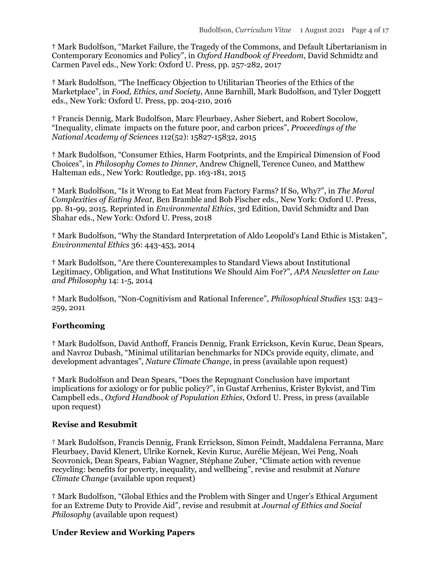**†** Mark Budolfson, "Market Failure, the Tragedy of the Commons, and Default Libertarianism in Contemporary Economics and Policy", in *Oxford Handbook of Freedom*, David Schmidtz and Carmen Pavel eds., New York: Oxford U. Press, pp. 257-282, 2017

**†** Mark Budolfson, "The Inefficacy Objection to Utilitarian Theories of the Ethics of the Marketplace", in *Food, Ethics, and Society*, Anne Barnhill, Mark Budolfson, and Tyler Doggett eds., New York: Oxford U. Press, pp. 204-210, 2016

**†** Francis Dennig, Mark Budolfson, Marc Fleurbaey, Asher Siebert, and Robert Socolow, "Inequality, climate impacts on the future poor, and carbon prices", *Proceedings of the National Academy of Sciences* 112(52): 15827-15832, 2015

**†** Mark Budolfson, "Consumer Ethics, Harm Footprints, and the Empirical Dimension of Food Choices", in *Philosophy Comes to Dinner*, Andrew Chignell, Terence Cuneo, and Matthew Halteman eds., New York: Routledge, pp. 163-181, 2015

**†** Mark Budolfson, "Is it Wrong to Eat Meat from Factory Farms? If So, Why?", in *The Moral Complexities of Eating Meat*, Ben Bramble and Bob Fischer eds., New York: Oxford U. Press, pp. 81-99, 2015. Reprinted in *Environmental Ethics*, 3rd Edition, David Schmidtz and Dan Shahar eds., New York: Oxford U. Press, 2018

**†** Mark Budolfson, "Why the Standard Interpretation of Aldo Leopold's Land Ethic is Mistaken", *Environmental Ethics* 36: 443-453, 2014

**†** Mark Budolfson, "Are there Counterexamples to Standard Views about Institutional Legitimacy, Obligation, and What Institutions We Should Aim For?", *APA Newsletter on Law and Philosophy* 14: 1-5, 2014

**†** Mark Budolfson, "Non-Cognitivism and Rational Inference", *Philosophical Studies* 153: 243– 259, 2011

#### **Forthcoming**

**†** Mark Budolfson, David Anthoff, Francis Dennig, Frank Errickson, Kevin Kuruc, Dean Spears, and Navroz Dubash, "Minimal utilitarian benchmarks for NDCs provide equity, climate, and development advantages", *Nature Climate Change*, in press (available upon request)

**†** Mark Budolfson and Dean Spears, "Does the Repugnant Conclusion have important implications for axiology or for public policy?", in Gustaf Arrhenius, Krister Bykvist, and Tim Campbell eds., *Oxford Handbook of Population Ethics*, Oxford U. Press, in press (available upon request)

#### **Revise and Resubmit**

† Mark Budolfson, Francis Dennig, Frank Errickson, Simon Feindt, Maddalena Ferranna, Marc Fleurbaey, David Klenert, Ulrike Kornek, Kevin Kuruc, Aurélie Méjean, Wei Peng, Noah Scovronick, Dean Spears, Fabian Wagner, Stéphane Zuber, "Climate action with revenue recycling: benefits for poverty, inequality, and wellbeing", revise and resubmit at *Nature Climate Change* (available upon request)

**†** Mark Budolfson, "Global Ethics and the Problem with Singer and Unger's Ethical Argument for an Extreme Duty to Provide Aid", revise and resubmit at *Journal of Ethics and Social Philosophy* (available upon request)

#### **Under Review and Working Papers**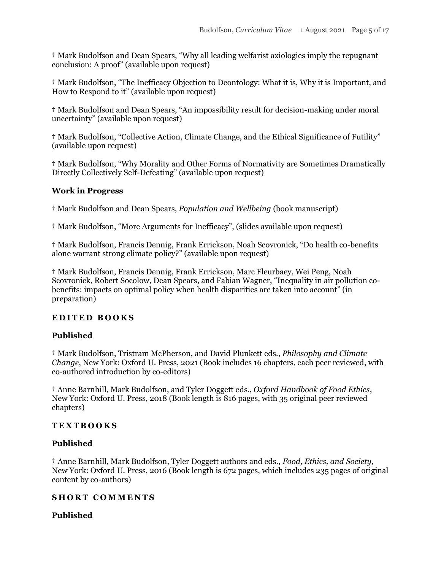**†** Mark Budolfson and Dean Spears, "Why all leading welfarist axiologies imply the repugnant conclusion: A proof" (available upon request)

**†** Mark Budolfson, "The Inefficacy Objection to Deontology: What it is, Why it is Important, and How to Respond to it" (available upon request)

**†** Mark Budolfson and Dean Spears, "An impossibility result for decision-making under moral uncertainty" (available upon request)

**†** Mark Budolfson, "Collective Action, Climate Change, and the Ethical Significance of Futility" (available upon request)

**†** Mark Budolfson, "Why Morality and Other Forms of Normativity are Sometimes Dramatically Directly Collectively Self-Defeating" (available upon request)

### **Work in Progress**

† Mark Budolfson and Dean Spears, *Population and Wellbeing* (book manuscript)

**†** Mark Budolfson, "More Arguments for Inefficacy", (slides available upon request)

**†** Mark Budolfson, Francis Dennig, Frank Errickson, Noah Scovronick, "Do health co-benefits alone warrant strong climate policy?" (available upon request)

**†** Mark Budolfson, Francis Dennig, Frank Errickson, Marc Fleurbaey, Wei Peng, Noah Scovronick, Robert Socolow, Dean Spears, and Fabian Wagner, "Inequality in air pollution cobenefits: impacts on optimal policy when health disparities are taken into account" (in preparation)

### **E D I T E D B O O K S**

### **Published**

**†** Mark Budolfson, Tristram McPherson, and David Plunkett eds., *Philosophy and Climate Change*, New York: Oxford U. Press, 2021 (Book includes 16 chapters, each peer reviewed, with co-authored introduction by co-editors)

† Anne Barnhill, Mark Budolfson, and Tyler Doggett eds., *Oxford Handbook of Food Ethics*, New York: Oxford U. Press, 2018 (Book length is 816 pages, with 35 original peer reviewed chapters)

### **T E X T B O O K S**

### **Published**

**†** Anne Barnhill, Mark Budolfson, Tyler Doggett authors and eds., *Food, Ethics, and Society*, New York: Oxford U. Press, 2016 (Book length is 672 pages, which includes 235 pages of original content by co-authors)

### **SHORT COMMENTS**

### **Published**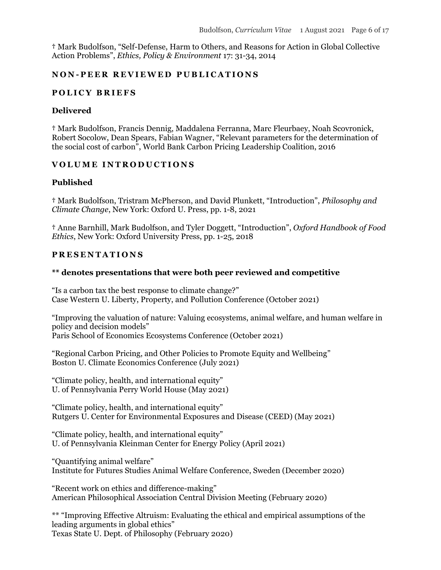**†** Mark Budolfson, "Self-Defense, Harm to Others, and Reasons for Action in Global Collective Action Problems", *Ethics, Policy & Environment* 17: 31-34, 2014

#### **N O N - P E E R R E V I E W E D P U B L I C A T I O N S**

### **P O L I C Y B R I E F S**

#### **Delivered**

**†** Mark Budolfson, Francis Dennig, Maddalena Ferranna, Marc Fleurbaey, Noah Scovronick, Robert Socolow, Dean Spears, Fabian Wagner, "Relevant parameters for the determination of the social cost of carbon", World Bank Carbon Pricing Leadership Coalition, 2016

### **V O L U M E I N T R O D U C T I O N S**

#### **Published**

**†** Mark Budolfson, Tristram McPherson, and David Plunkett, "Introduction", *Philosophy and Climate Change*, New York: Oxford U. Press, pp. 1-8, 2021

**†** Anne Barnhill, Mark Budolfson, and Tyler Doggett, "Introduction", *Oxford Handbook of Food Ethics*, New York: Oxford University Press, pp. 1-25, 2018

### **P R E S E N T A T I O N S**

#### **\*\* denotes presentations that were both peer reviewed and competitive**

"Is a carbon tax the best response to climate change?" Case Western U. Liberty, Property, and Pollution Conference (October 2021)

"Improving the valuation of nature: Valuing ecosystems, animal welfare, and human welfare in policy and decision models" Paris School of Economics Ecosystems Conference (October 2021)

"Regional Carbon Pricing, and Other Policies to Promote Equity and Wellbeing" Boston U. Climate Economics Conference (July 2021)

"Climate policy, health, and international equity" U. of Pennsylvania Perry World House (May 2021)

"Climate policy, health, and international equity" Rutgers U. Center for Environmental Exposures and Disease (CEED) (May 2021)

"Climate policy, health, and international equity" U. of Pennsylvania Kleinman Center for Energy Policy (April 2021)

"Quantifying animal welfare" Institute for Futures Studies Animal Welfare Conference, Sweden (December 2020)

"Recent work on ethics and difference-making" American Philosophical Association Central Division Meeting (February 2020)

\*\* "Improving Effective Altruism: Evaluating the ethical and empirical assumptions of the leading arguments in global ethics" Texas State U. Dept. of Philosophy (February 2020)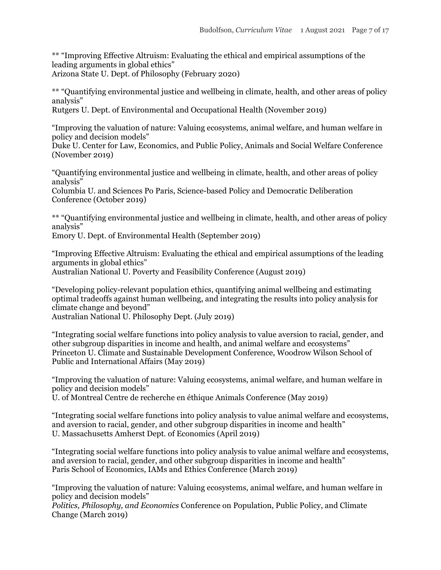\*\* "Improving Effective Altruism: Evaluating the ethical and empirical assumptions of the leading arguments in global ethics" Arizona State U. Dept. of Philosophy (February 2020)

\*\* "Quantifying environmental justice and wellbeing in climate, health, and other areas of policy analysis"

Rutgers U. Dept. of Environmental and Occupational Health (November 2019)

"Improving the valuation of nature: Valuing ecosystems, animal welfare, and human welfare in policy and decision models"

Duke U. Center for Law, Economics, and Public Policy, Animals and Social Welfare Conference (November 2019)

"Quantifying environmental justice and wellbeing in climate, health, and other areas of policy analysis"

Columbia U. and Sciences Po Paris, Science-based Policy and Democratic Deliberation Conference (October 2019)

\*\* "Quantifying environmental justice and wellbeing in climate, health, and other areas of policy analysis"

Emory U. Dept. of Environmental Health (September 2019)

"Improving Effective Altruism: Evaluating the ethical and empirical assumptions of the leading arguments in global ethics" Australian National U. Poverty and Feasibility Conference (August 2019)

"Developing policy-relevant population ethics, quantifying animal wellbeing and estimating optimal tradeoffs against human wellbeing, and integrating the results into policy analysis for climate change and beyond" Australian National U. Philosophy Dept. (July 2019)

"Integrating social welfare functions into policy analysis to value aversion to racial, gender, and other subgroup disparities in income and health, and animal welfare and ecosystems" Princeton U. Climate and Sustainable Development Conference, Woodrow Wilson School of Public and International Affairs (May 2019)

"Improving the valuation of nature: Valuing ecosystems, animal welfare, and human welfare in policy and decision models"

U. of Montreal Centre de recherche en éthique Animals Conference (May 2019)

"Integrating social welfare functions into policy analysis to value animal welfare and ecosystems, and aversion to racial, gender, and other subgroup disparities in income and health" U. Massachusetts Amherst Dept. of Economics (April 2019)

"Integrating social welfare functions into policy analysis to value animal welfare and ecosystems, and aversion to racial, gender, and other subgroup disparities in income and health" Paris School of Economics, IAMs and Ethics Conference (March 2019)

"Improving the valuation of nature: Valuing ecosystems, animal welfare, and human welfare in policy and decision models"

*Politics, Philosophy, and Economics* Conference on Population, Public Policy, and Climate Change (March 2019)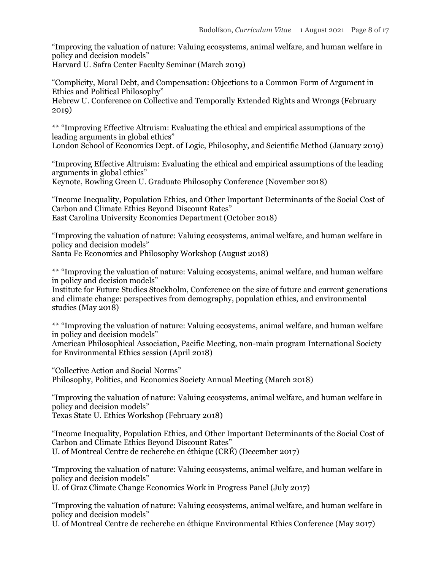"Improving the valuation of nature: Valuing ecosystems, animal welfare, and human welfare in policy and decision models"

Harvard U. Safra Center Faculty Seminar (March 2019)

"Complicity, Moral Debt, and Compensation: Objections to a Common Form of Argument in Ethics and Political Philosophy"

Hebrew U. Conference on Collective and Temporally Extended Rights and Wrongs (February 2019)

\*\* "Improving Effective Altruism: Evaluating the ethical and empirical assumptions of the leading arguments in global ethics"

London School of Economics Dept. of Logic, Philosophy, and Scientific Method (January 2019)

"Improving Effective Altruism: Evaluating the ethical and empirical assumptions of the leading arguments in global ethics"

Keynote, Bowling Green U. Graduate Philosophy Conference (November 2018)

"Income Inequality, Population Ethics, and Other Important Determinants of the Social Cost of Carbon and Climate Ethics Beyond Discount Rates" East Carolina University Economics Department (October 2018)

"Improving the valuation of nature: Valuing ecosystems, animal welfare, and human welfare in policy and decision models" Santa Fe Economics and Philosophy Workshop (August 2018)

\*\* "Improving the valuation of nature: Valuing ecosystems, animal welfare, and human welfare in policy and decision models"

Institute for Future Studies Stockholm, Conference on the size of future and current generations and climate change: perspectives from demography, population ethics, and environmental studies (May 2018)

\*\* "Improving the valuation of nature: Valuing ecosystems, animal welfare, and human welfare in policy and decision models"

American Philosophical Association, Pacific Meeting, non-main program International Society for Environmental Ethics session (April 2018)

"Collective Action and Social Norms" Philosophy, Politics, and Economics Society Annual Meeting (March 2018)

"Improving the valuation of nature: Valuing ecosystems, animal welfare, and human welfare in policy and decision models"

Texas State U. Ethics Workshop (February 2018)

"Income Inequality, Population Ethics, and Other Important Determinants of the Social Cost of Carbon and Climate Ethics Beyond Discount Rates" U. of Montreal Centre de recherche en éthique (CRÉ) (December 2017)

"Improving the valuation of nature: Valuing ecosystems, animal welfare, and human welfare in policy and decision models"

U. of Graz Climate Change Economics Work in Progress Panel (July 2017)

"Improving the valuation of nature: Valuing ecosystems, animal welfare, and human welfare in policy and decision models"

U. of Montreal Centre de recherche en éthique Environmental Ethics Conference (May 2017)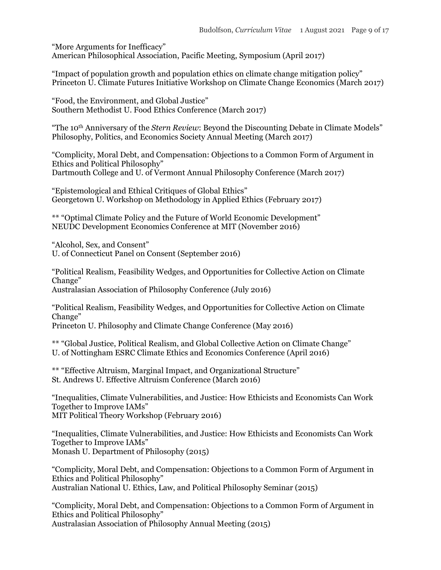"More Arguments for Inefficacy" American Philosophical Association, Pacific Meeting, Symposium (April 2017)

"Impact of population growth and population ethics on climate change mitigation policy" Princeton U. Climate Futures Initiative Workshop on Climate Change Economics (March 2017)

"Food, the Environment, and Global Justice" Southern Methodist U. Food Ethics Conference (March 2017)

"The 10th Anniversary of the *Stern Review*: Beyond the Discounting Debate in Climate Models" Philosophy, Politics, and Economics Society Annual Meeting (March 2017)

"Complicity, Moral Debt, and Compensation: Objections to a Common Form of Argument in Ethics and Political Philosophy" Dartmouth College and U. of Vermont Annual Philosophy Conference (March 2017)

"Epistemological and Ethical Critiques of Global Ethics" Georgetown U. Workshop on Methodology in Applied Ethics (February 2017)

\*\* "Optimal Climate Policy and the Future of World Economic Development" NEUDC Development Economics Conference at MIT (November 2016)

"Alcohol, Sex, and Consent" U. of Connecticut Panel on Consent (September 2016)

"Political Realism, Feasibility Wedges, and Opportunities for Collective Action on Climate Change" Australasian Association of Philosophy Conference (July 2016)

"Political Realism, Feasibility Wedges, and Opportunities for Collective Action on Climate Change"

Princeton U. Philosophy and Climate Change Conference (May 2016)

\*\* "Global Justice, Political Realism, and Global Collective Action on Climate Change" U. of Nottingham ESRC Climate Ethics and Economics Conference (April 2016)

\*\* "Effective Altruism, Marginal Impact, and Organizational Structure" St. Andrews U. Effective Altruism Conference (March 2016)

"Inequalities, Climate Vulnerabilities, and Justice: How Ethicists and Economists Can Work Together to Improve IAMs" MIT Political Theory Workshop (February 2016)

"Inequalities, Climate Vulnerabilities, and Justice: How Ethicists and Economists Can Work Together to Improve IAMs" Monash U. Department of Philosophy (2015)

"Complicity, Moral Debt, and Compensation: Objections to a Common Form of Argument in Ethics and Political Philosophy" Australian National U. Ethics, Law, and Political Philosophy Seminar (2015)

"Complicity, Moral Debt, and Compensation: Objections to a Common Form of Argument in Ethics and Political Philosophy" Australasian Association of Philosophy Annual Meeting (2015)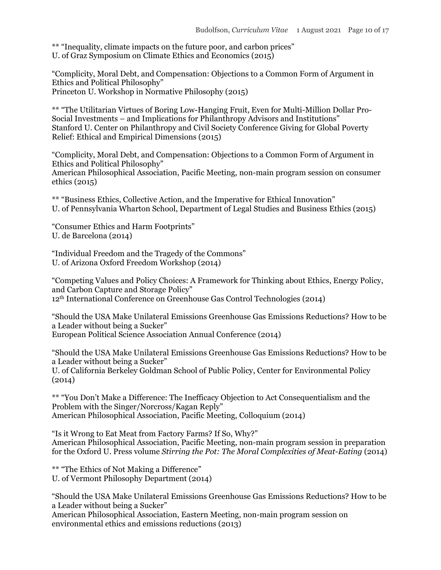\*\* "Inequality, climate impacts on the future poor, and carbon prices" U. of Graz Symposium on Climate Ethics and Economics (2015)

"Complicity, Moral Debt, and Compensation: Objections to a Common Form of Argument in Ethics and Political Philosophy" Princeton U. Workshop in Normative Philosophy (2015)

\*\* "The Utilitarian Virtues of Boring Low-Hanging Fruit, Even for Multi-Million Dollar Pro-Social Investments – and Implications for Philanthropy Advisors and Institutions" Stanford U. Center on Philanthropy and Civil Society Conference Giving for Global Poverty Relief: Ethical and Empirical Dimensions (2015)

"Complicity, Moral Debt, and Compensation: Objections to a Common Form of Argument in Ethics and Political Philosophy" American Philosophical Association, Pacific Meeting, non-main program session on consumer ethics (2015)

\*\* "Business Ethics, Collective Action, and the Imperative for Ethical Innovation" U. of Pennsylvania Wharton School, Department of Legal Studies and Business Ethics (2015)

"Consumer Ethics and Harm Footprints" U. de Barcelona (2014)

"Individual Freedom and the Tragedy of the Commons" U. of Arizona Oxford Freedom Workshop (2014)

"Competing Values and Policy Choices: A Framework for Thinking about Ethics, Energy Policy, and Carbon Capture and Storage Policy" 12th International Conference on Greenhouse Gas Control Technologies (2014)

"Should the USA Make Unilateral Emissions Greenhouse Gas Emissions Reductions? How to be a Leader without being a Sucker" European Political Science Association Annual Conference (2014)

"Should the USA Make Unilateral Emissions Greenhouse Gas Emissions Reductions? How to be a Leader without being a Sucker"

U. of California Berkeley Goldman School of Public Policy, Center for Environmental Policy (2014)

\*\* "You Don't Make a Difference: The Inefficacy Objection to Act Consequentialism and the Problem with the Singer/Norcross/Kagan Reply" American Philosophical Association, Pacific Meeting, Colloquium (2014)

"Is it Wrong to Eat Meat from Factory Farms? If So, Why?" American Philosophical Association, Pacific Meeting, non-main program session in preparation for the Oxford U. Press volume *Stirring the Pot: The Moral Complexities of Meat-Eating* (2014)

\*\* "The Ethics of Not Making a Difference" U. of Vermont Philosophy Department (2014)

"Should the USA Make Unilateral Emissions Greenhouse Gas Emissions Reductions? How to be a Leader without being a Sucker" American Philosophical Association, Eastern Meeting, non-main program session on environmental ethics and emissions reductions (2013)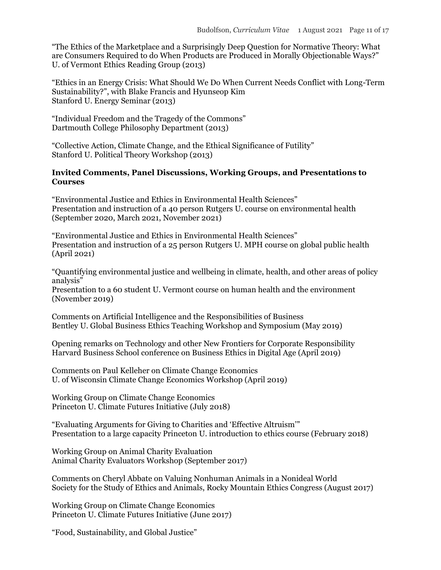"The Ethics of the Marketplace and a Surprisingly Deep Question for Normative Theory: What are Consumers Required to do When Products are Produced in Morally Objectionable Ways?" U. of Vermont Ethics Reading Group (2013)

"Ethics in an Energy Crisis: What Should We Do When Current Needs Conflict with Long-Term Sustainability?", with Blake Francis and Hyunseop Kim Stanford U. Energy Seminar (2013)

"Individual Freedom and the Tragedy of the Commons" Dartmouth College Philosophy Department (2013)

"Collective Action, Climate Change, and the Ethical Significance of Futility" Stanford U. Political Theory Workshop (2013)

#### **Invited Comments, Panel Discussions, Working Groups, and Presentations to Courses**

"Environmental Justice and Ethics in Environmental Health Sciences" Presentation and instruction of a 40 person Rutgers U. course on environmental health (September 2020, March 2021, November 2021)

"Environmental Justice and Ethics in Environmental Health Sciences" Presentation and instruction of a 25 person Rutgers U. MPH course on global public health (April 2021)

"Quantifying environmental justice and wellbeing in climate, health, and other areas of policy analysis"

Presentation to a 60 student U. Vermont course on human health and the environment (November 2019)

Comments on Artificial Intelligence and the Responsibilities of Business Bentley U. Global Business Ethics Teaching Workshop and Symposium (May 2019)

Opening remarks on Technology and other New Frontiers for Corporate Responsibility Harvard Business School conference on Business Ethics in Digital Age (April 2019)

Comments on Paul Kelleher on Climate Change Economics U. of Wisconsin Climate Change Economics Workshop (April 2019)

Working Group on Climate Change Economics Princeton U. Climate Futures Initiative (July 2018)

"Evaluating Arguments for Giving to Charities and 'Effective Altruism'" Presentation to a large capacity Princeton U. introduction to ethics course (February 2018)

Working Group on Animal Charity Evaluation Animal Charity Evaluators Workshop (September 2017)

Comments on Cheryl Abbate on Valuing Nonhuman Animals in a Nonideal World Society for the Study of Ethics and Animals, Rocky Mountain Ethics Congress (August 2017)

Working Group on Climate Change Economics Princeton U. Climate Futures Initiative (June 2017)

"Food, Sustainability, and Global Justice"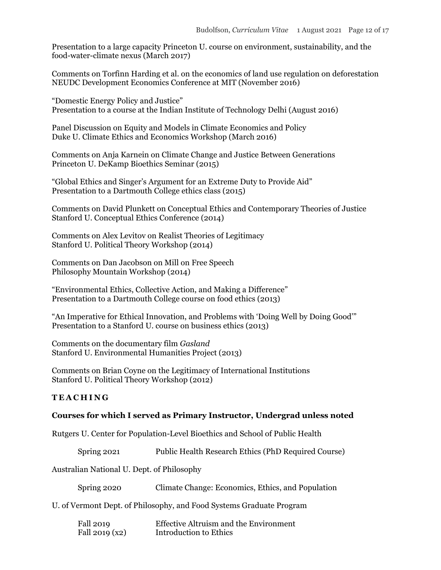Presentation to a large capacity Princeton U. course on environment, sustainability, and the food-water-climate nexus (March 2017)

Comments on Torfinn Harding et al. on the economics of land use regulation on deforestation NEUDC Development Economics Conference at MIT (November 2016)

"Domestic Energy Policy and Justice" Presentation to a course at the Indian Institute of Technology Delhi (August 2016)

Panel Discussion on Equity and Models in Climate Economics and Policy Duke U. Climate Ethics and Economics Workshop (March 2016)

Comments on Anja Karnein on Climate Change and Justice Between Generations Princeton U. DeKamp Bioethics Seminar (2015)

"Global Ethics and Singer's Argument for an Extreme Duty to Provide Aid" Presentation to a Dartmouth College ethics class (2015)

Comments on David Plunkett on Conceptual Ethics and Contemporary Theories of Justice Stanford U. Conceptual Ethics Conference (2014)

Comments on Alex Levitov on Realist Theories of Legitimacy Stanford U. Political Theory Workshop (2014)

Comments on Dan Jacobson on Mill on Free Speech Philosophy Mountain Workshop (2014)

"Environmental Ethics, Collective Action, and Making a Difference" Presentation to a Dartmouth College course on food ethics (2013)

"An Imperative for Ethical Innovation, and Problems with 'Doing Well by Doing Good'" Presentation to a Stanford U. course on business ethics (2013)

Comments on the documentary film *Gasland* Stanford U. Environmental Humanities Project (2013)

Comments on Brian Coyne on the Legitimacy of International Institutions Stanford U. Political Theory Workshop (2012)

### **T E A C H I N G**

#### **Courses for which I served as Primary Instructor, Undergrad unless noted**

Rutgers U. Center for Population-Level Bioethics and School of Public Health

Spring 2021 Public Health Research Ethics (PhD Required Course)

Australian National U. Dept. of Philosophy

| Spring 2020 | Climate Change: Economics, Ethics, and Population |  |  |
|-------------|---------------------------------------------------|--|--|
|             |                                                   |  |  |

U. of Vermont Dept. of Philosophy, and Food Systems Graduate Program

| Fall 2019      | <b>Effective Altruism and the Environment</b> |
|----------------|-----------------------------------------------|
| Fall 2019 (x2) | Introduction to Ethics                        |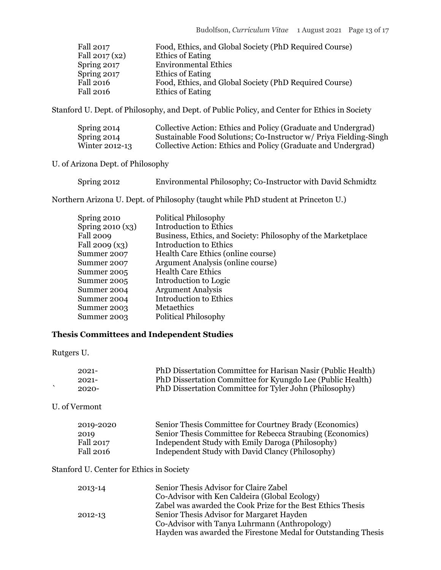| Fall 2017       | Food, Ethics, and Global Society (PhD Required Course) |
|-----------------|--------------------------------------------------------|
| Fall $2017(x2)$ | Ethics of Eating                                       |
| Spring 2017     | <b>Environmental Ethics</b>                            |
| Spring 2017     | <b>Ethics of Eating</b>                                |
| Fall 2016       | Food, Ethics, and Global Society (PhD Required Course) |
| Fall 2016       | Ethics of Eating                                       |

Stanford U. Dept. of Philosophy, and Dept. of Public Policy, and Center for Ethics in Society

| Spring 2014    | Collective Action: Ethics and Policy (Graduate and Undergrad)     |
|----------------|-------------------------------------------------------------------|
| Spring 2014    | Sustainable Food Solutions; Co-Instructor w/ Priya Fielding-Singh |
| Winter 2012-13 | Collective Action: Ethics and Policy (Graduate and Undergrad)     |

### U. of Arizona Dept. of Philosophy

| Spring 2012 | Environmental Philosophy; Co-Instructor with David Schmidtz |  |  |
|-------------|-------------------------------------------------------------|--|--|
|             |                                                             |  |  |

Northern Arizona U. Dept. of Philosophy (taught while PhD student at Princeton U.)

| <b>Political Philosophy</b>                                  |
|--------------------------------------------------------------|
| <b>Introduction to Ethics</b>                                |
| Business, Ethics, and Society: Philosophy of the Marketplace |
| <b>Introduction to Ethics</b>                                |
| Health Care Ethics (online course)                           |
| Argument Analysis (online course)                            |
| <b>Health Care Ethics</b>                                    |
| Introduction to Logic                                        |
| <b>Argument Analysis</b>                                     |
| <b>Introduction to Ethics</b>                                |
| Metaethics                                                   |
| <b>Political Philosophy</b>                                  |
|                                                              |

## **Thesis Committees and Independent Studies**

Rutgers U.

| $2021 -$ | PhD Dissertation Committee for Harisan Nasir (Public Health) |
|----------|--------------------------------------------------------------|
| $2021 -$ | PhD Dissertation Committee for Kyungdo Lee (Public Health)   |
| $2020 -$ | PhD Dissertation Committee for Tyler John (Philosophy)       |

U. of Vermont

| 2019-2020 | Senior Thesis Committee for Courtney Brady (Economics)    |
|-----------|-----------------------------------------------------------|
| 2019      | Senior Thesis Committee for Rebecca Straubing (Economics) |
| Fall 2017 | Independent Study with Emily Daroga (Philosophy)          |
| Fall 2016 | Independent Study with David Clancy (Philosophy)          |

### Stanford U. Center for Ethics in Society

| 2013-14 | Senior Thesis Advisor for Claire Zabel                        |
|---------|---------------------------------------------------------------|
|         | Co-Advisor with Ken Caldeira (Global Ecology)                 |
|         | Zabel was awarded the Cook Prize for the Best Ethics Thesis   |
| 2012-13 | Senior Thesis Advisor for Margaret Hayden                     |
|         | Co-Advisor with Tanya Luhrmann (Anthropology)                 |
|         | Hayden was awarded the Firestone Medal for Outstanding Thesis |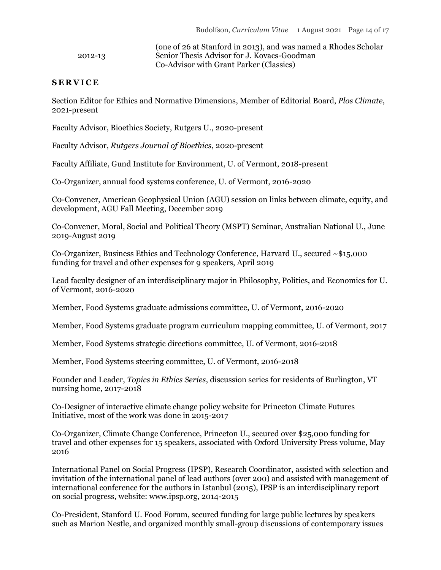(one of 26 at Stanford in 2013), and was named a Rhodes Scholar 2012-13 Senior Thesis Advisor for J. Kovacs-Goodman Co-Advisor with Grant Parker (Classics)

#### **S E R V I C E**

Section Editor for Ethics and Normative Dimensions, Member of Editorial Board, *Plos Climate*, 2021-present

Faculty Advisor, Bioethics Society, Rutgers U., 2020-present

Faculty Advisor, *Rutgers Journal of Bioethics*, 2020-present

Faculty Affiliate, Gund Institute for Environment, U. of Vermont, 2018-present

Co-Organizer, annual food systems conference, U. of Vermont, 2016-2020

C0-Convener, American Geophysical Union (AGU) session on links between climate, equity, and development, AGU Fall Meeting, December 2019

Co-Convener, Moral, Social and Political Theory (MSPT) Seminar, Australian National U., June 2019-August 2019

Co-Organizer, Business Ethics and Technology Conference, Harvard U., secured ~\$15,000 funding for travel and other expenses for 9 speakers, April 2019

Lead faculty designer of an interdisciplinary major in Philosophy, Politics, and Economics for U. of Vermont, 2016-2020

Member, Food Systems graduate admissions committee, U. of Vermont, 2016-2020

Member, Food Systems graduate program curriculum mapping committee, U. of Vermont, 2017

Member, Food Systems strategic directions committee, U. of Vermont, 2016-2018

Member, Food Systems steering committee, U. of Vermont, 2016-2018

Founder and Leader, *Topics in Ethics Series*, discussion series for residents of Burlington, VT nursing home, 2017-2018

Co-Designer of interactive climate change policy website for Princeton Climate Futures Initiative, most of the work was done in 2015-2017

Co-Organizer, Climate Change Conference, Princeton U., secured over \$25,000 funding for travel and other expenses for 15 speakers, associated with Oxford University Press volume, May 2016

International Panel on Social Progress (IPSP), Research Coordinator, assisted with selection and invitation of the international panel of lead authors (over 200) and assisted with management of international conference for the authors in Istanbul (2015), IPSP is an interdisciplinary report on social progress, website: www.ipsp.org, 2014-2015

Co-President, Stanford U. Food Forum, secured funding for large public lectures by speakers such as Marion Nestle, and organized monthly small-group discussions of contemporary issues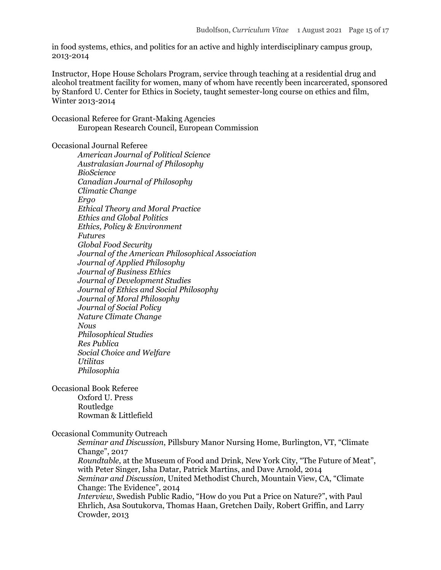in food systems, ethics, and politics for an active and highly interdisciplinary campus group, 2013-2014

Instructor, Hope House Scholars Program, service through teaching at a residential drug and alcohol treatment facility for women, many of whom have recently been incarcerated, sponsored by Stanford U. Center for Ethics in Society, taught semester-long course on ethics and film, Winter 2013-2014

Occasional Referee for Grant-Making Agencies European Research Council, European Commission

#### Occasional Journal Referee

*American Journal of Political Science Australasian Journal of Philosophy BioScience Canadian Journal of Philosophy Climatic Change Ergo Ethical Theory and Moral Practice Ethics and Global Politics Ethics, Policy & Environment Futures Global Food Security Journal of the American Philosophical Association Journal of Applied Philosophy Journal of Business Ethics Journal of Development Studies Journal of Ethics and Social Philosophy Journal of Moral Philosophy Journal of Social Policy Nature Climate Change Nous Philosophical Studies Res Publica Social Choice and Welfare Utilitas Philosophia*

Occasional Book Referee Oxford U. Press Routledge Rowman & Littlefield

#### Occasional Community Outreach

*Seminar and Discussion*, Pillsbury Manor Nursing Home, Burlington, VT, "Climate Change", 2017 *Roundtable*, at the Museum of Food and Drink, New York City, "The Future of Meat", with Peter Singer, Isha Datar, Patrick Martins, and Dave Arnold, 2014 *Seminar and Discussion*, United Methodist Church, Mountain View, CA, "Climate Change: The Evidence", 2014

*Interview*, Swedish Public Radio, "How do you Put a Price on Nature?", with Paul Ehrlich, Asa Soutukorva, Thomas Haan, Gretchen Daily, Robert Griffin, and Larry Crowder, 2013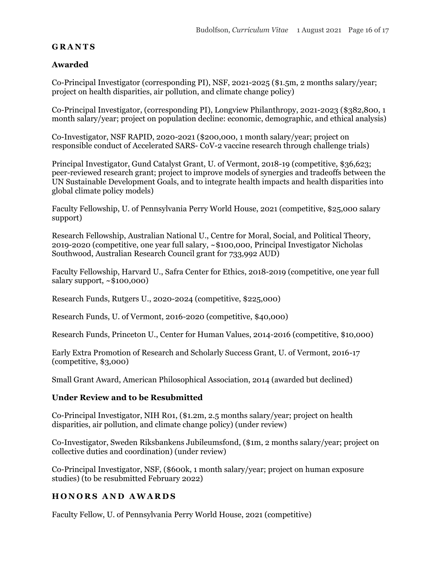### **G R A N T S**

### **Awarded**

Co-Principal Investigator (corresponding PI), NSF, 2021-2025 (\$1.5m, 2 months salary/year; project on health disparities, air pollution, and climate change policy)

Co-Principal Investigator, (corresponding PI), Longview Philanthropy, 2021-2023 (\$382,800, 1 month salary/year; project on population decline: economic, demographic, and ethical analysis)

Co-Investigator, NSF RAPID, 2020-2021 (\$200,000, 1 month salary/year; project on responsible conduct of Accelerated SARS- CoV-2 vaccine research through challenge trials)

Principal Investigator, Gund Catalyst Grant, U. of Vermont, 2018-19 (competitive, \$36,623; peer-reviewed research grant; project to improve models of synergies and tradeoffs between the UN Sustainable Development Goals, and to integrate health impacts and health disparities into global climate policy models)

Faculty Fellowship, U. of Pennsylvania Perry World House, 2021 (competitive, \$25,000 salary support)

Research Fellowship, Australian National U., Centre for Moral, Social, and Political Theory, 2019-2020 (competitive, one year full salary, ~\$100,000, Principal Investigator Nicholas Southwood, Australian Research Council grant for 733,992 AUD)

Faculty Fellowship, Harvard U., Safra Center for Ethics, 2018-2019 (competitive, one year full salary support,  $\sim$ \$100,000)

Research Funds, Rutgers U., 2020-2024 (competitive, \$225,000)

Research Funds, U. of Vermont, 2016-2020 (competitive, \$40,000)

Research Funds, Princeton U., Center for Human Values, 2014-2016 (competitive, \$10,000)

Early Extra Promotion of Research and Scholarly Success Grant, U. of Vermont, 2016-17 (competitive, \$3,000)

Small Grant Award, American Philosophical Association, 2014 (awarded but declined)

### **Under Review and to be Resubmitted**

Co-Principal Investigator, NIH R01, (\$1.2m, 2.5 months salary/year; project on health disparities, air pollution, and climate change policy) (under review)

Co-Investigator, Sweden Riksbankens Jubileumsfond, (\$1m, 2 months salary/year; project on collective duties and coordination) (under review)

Co-Principal Investigator, NSF, (\$600k, 1 month salary/year; project on human exposure studies) (to be resubmitted February 2022)

## **H O N O R S A N D A W A R D S**

Faculty Fellow, U. of Pennsylvania Perry World House, 2021 (competitive)